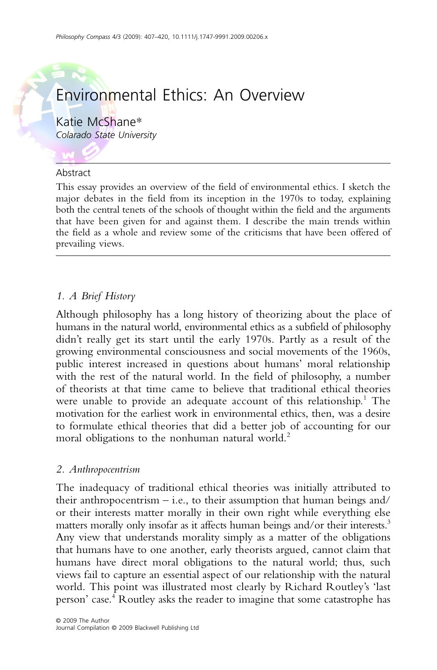# Environmental Ethics: An Overview

Katie McShane\* *Colarado State University*

### Abstract

This essay provides an overview of the field of environmental ethics. I sketch the major debates in the field from its inception in the 1970s to today, explaining both the central tenets of the schools of thought within the field and the arguments that have been given for and against them. I describe the main trends within the field as a whole and review some of the criticisms that have been offered of prevailing views.

## *1. A Brief History*

Although philosophy has a long history of theorizing about the place of humans in the natural world, environmental ethics as a subfield of philosophy didn't really get its start until the early 1970s. Partly as a result of the growing environmental consciousness and social movements of the 1960s, public interest increased in questions about humans' moral relationship with the rest of the natural world. In the field of philosophy, a number of theorists at that time came to believe that traditional ethical theories were unable to provide an adequate account of this relationship.<sup>1</sup> The motivation for the earliest work in environmental ethics, then, was a desire to formulate ethical theories that did a better job of accounting for our moral obligations to the nonhuman natural world.<sup>2</sup>

## *2. Anthropocentrism*

The inadequacy of traditional ethical theories was initially attributed to their anthropocentrism  $-$  i.e., to their assumption that human beings and/ or their interests matter morally in their own right while everything else matters morally only insofar as it affects human beings and/or their interests.<sup>3</sup> Any view that understands morality simply as a matter of the obligations that humans have to one another, early theorists argued, cannot claim that humans have direct moral obligations to the natural world; thus, such views fail to capture an essential aspect of our relationship with the natural world. This point was illustrated most clearly by Richard Routley's 'last person' case.<sup>4</sup> Routley asks the reader to imagine that some catastrophe has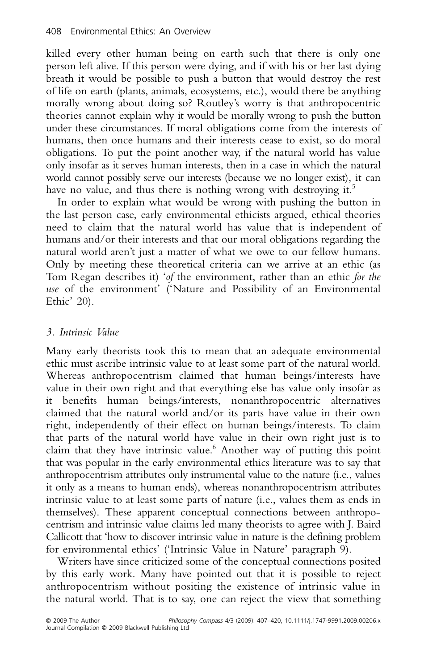killed every other human being on earth such that there is only one person left alive. If this person were dying, and if with his or her last dying breath it would be possible to push a button that would destroy the rest of life on earth (plants, animals, ecosystems, etc.), would there be anything morally wrong about doing so? Routley's worry is that anthropocentric theories cannot explain why it would be morally wrong to push the button under these circumstances. If moral obligations come from the interests of humans, then once humans and their interests cease to exist, so do moral obligations. To put the point another way, if the natural world has value only insofar as it serves human interests, then in a case in which the natural world cannot possibly serve our interests (because we no longer exist), it can have no value, and thus there is nothing wrong with destroying it.<sup>5</sup>

In order to explain what would be wrong with pushing the button in the last person case, early environmental ethicists argued, ethical theories need to claim that the natural world has value that is independent of humans and/or their interests and that our moral obligations regarding the natural world aren't just a matter of what we owe to our fellow humans. Only by meeting these theoretical criteria can we arrive at an ethic (as Tom Regan describes it) '*of* the environment, rather than an ethic *for the use* of the environment' ('Nature and Possibility of an Environmental Ethic' 20).

## *3. Intrinsic Value*

Many early theorists took this to mean that an adequate environmental ethic must ascribe intrinsic value to at least some part of the natural world. Whereas anthropocentrism claimed that human beings/interests have value in their own right and that everything else has value only insofar as it benefits human beings/interests, nonanthropocentric alternatives claimed that the natural world and/or its parts have value in their own right, independently of their effect on human beings/interests. To claim that parts of the natural world have value in their own right just is to claim that they have intrinsic value.<sup>6</sup> Another way of putting this point that was popular in the early environmental ethics literature was to say that anthropocentrism attributes only instrumental value to the nature (i.e., values it only as a means to human ends), whereas nonanthropocentrism attributes intrinsic value to at least some parts of nature (i.e., values them as ends in themselves). These apparent conceptual connections between anthropocentrism and intrinsic value claims led many theorists to agree with J. Baird Callicott that 'how to discover intrinsic value in nature is the defining problem for environmental ethics' ('Intrinsic Value in Nature' paragraph 9).

Writers have since criticized some of the conceptual connections posited by this early work. Many have pointed out that it is possible to reject anthropocentrism without positing the existence of intrinsic value in the natural world. That is to say, one can reject the view that something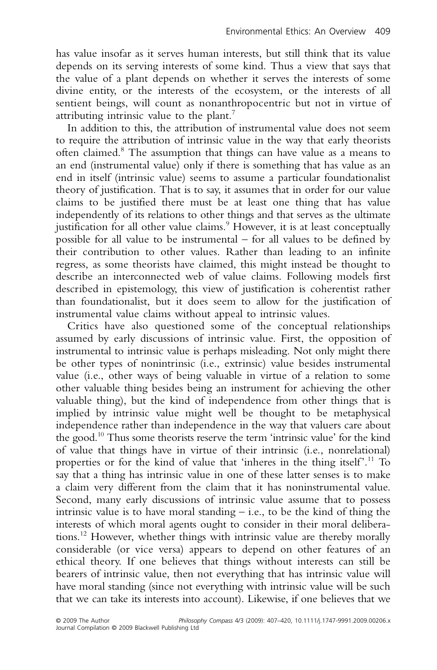has value insofar as it serves human interests, but still think that its value depends on its serving interests of some kind. Thus a view that says that the value of a plant depends on whether it serves the interests of some divine entity, or the interests of the ecosystem, or the interests of all sentient beings, will count as nonanthropocentric but not in virtue of attributing intrinsic value to the plant.7

In addition to this, the attribution of instrumental value does not seem to require the attribution of intrinsic value in the way that early theorists often claimed.<sup>8</sup> The assumption that things can have value as a means to an end (instrumental value) only if there is something that has value as an end in itself (intrinsic value) seems to assume a particular foundationalist theory of justification. That is to say, it assumes that in order for our value claims to be justified there must be at least one thing that has value independently of its relations to other things and that serves as the ultimate justification for all other value claims.<sup>9</sup> However, it is at least conceptually possible for all value to be instrumental – for all values to be defined by their contribution to other values. Rather than leading to an infinite regress, as some theorists have claimed, this might instead be thought to describe an interconnected web of value claims. Following models first described in epistemology, this view of justification is coherentist rather than foundationalist, but it does seem to allow for the justification of instrumental value claims without appeal to intrinsic values.

Critics have also questioned some of the conceptual relationships assumed by early discussions of intrinsic value. First, the opposition of instrumental to intrinsic value is perhaps misleading. Not only might there be other types of nonintrinsic (i.e., extrinsic) value besides instrumental value (i.e., other ways of being valuable in virtue of a relation to some other valuable thing besides being an instrument for achieving the other valuable thing), but the kind of independence from other things that is implied by intrinsic value might well be thought to be metaphysical independence rather than independence in the way that valuers care about the good.10 Thus some theorists reserve the term 'intrinsic value' for the kind of value that things have in virtue of their intrinsic (i.e., nonrelational) properties or for the kind of value that 'inheres in the thing itself'.11 To say that a thing has intrinsic value in one of these latter senses is to make a claim very different from the claim that it has noninstrumental value. Second, many early discussions of intrinsic value assume that to possess intrinsic value is to have moral standing  $-$  i.e., to be the kind of thing the interests of which moral agents ought to consider in their moral deliberations.12 However, whether things with intrinsic value are thereby morally considerable (or vice versa) appears to depend on other features of an ethical theory. If one believes that things without interests can still be bearers of intrinsic value, then not everything that has intrinsic value will have moral standing (since not everything with intrinsic value will be such that we can take its interests into account). Likewise, if one believes that we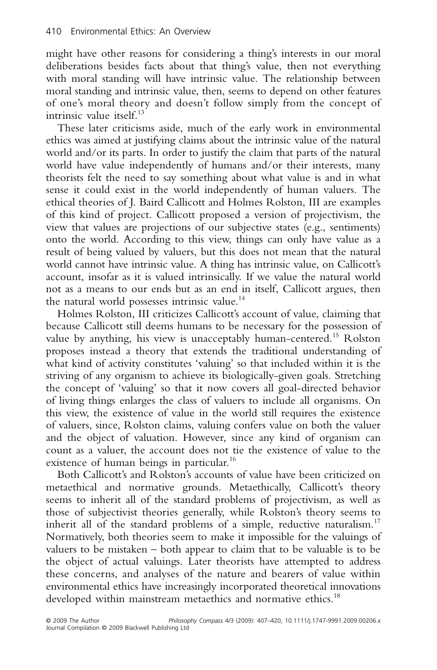might have other reasons for considering a thing's interests in our moral deliberations besides facts about that thing's value, then not everything with moral standing will have intrinsic value. The relationship between moral standing and intrinsic value, then, seems to depend on other features of one's moral theory and doesn't follow simply from the concept of intrinsic value itself.<sup>13</sup>

These later criticisms aside, much of the early work in environmental ethics was aimed at justifying claims about the intrinsic value of the natural world and/or its parts. In order to justify the claim that parts of the natural world have value independently of humans and/or their interests, many theorists felt the need to say something about what value is and in what sense it could exist in the world independently of human valuers. The ethical theories of J. Baird Callicott and Holmes Rolston, III are examples of this kind of project. Callicott proposed a version of projectivism, the view that values are projections of our subjective states (e.g., sentiments) onto the world. According to this view, things can only have value as a result of being valued by valuers, but this does not mean that the natural world cannot have intrinsic value. A thing has intrinsic value, on Callicott's account, insofar as it is valued intrinsically. If we value the natural world not as a means to our ends but as an end in itself, Callicott argues, then the natural world possesses intrinsic value.<sup>14</sup>

Holmes Rolston, III criticizes Callicott's account of value, claiming that because Callicott still deems humans to be necessary for the possession of value by anything, his view is unacceptably human-centered.<sup>15</sup> Rolston proposes instead a theory that extends the traditional understanding of what kind of activity constitutes 'valuing' so that included within it is the striving of any organism to achieve its biologically-given goals. Stretching the concept of 'valuing' so that it now covers all goal-directed behavior of living things enlarges the class of valuers to include all organisms. On this view, the existence of value in the world still requires the existence of valuers, since, Rolston claims, valuing confers value on both the valuer and the object of valuation. However, since any kind of organism can count as a valuer, the account does not tie the existence of value to the existence of human beings in particular.<sup>16</sup>

Both Callicott's and Rolston's accounts of value have been criticized on metaethical and normative grounds. Metaethically, Callicott's theory seems to inherit all of the standard problems of projectivism, as well as those of subjectivist theories generally, while Rolston's theory seems to inherit all of the standard problems of a simple, reductive naturalism.<sup>17</sup> Normatively, both theories seem to make it impossible for the valuings of valuers to be mistaken – both appear to claim that to be valuable is to be the object of actual valuings. Later theorists have attempted to address these concerns, and analyses of the nature and bearers of value within environmental ethics have increasingly incorporated theoretical innovations developed within mainstream metaethics and normative ethics.<sup>18</sup>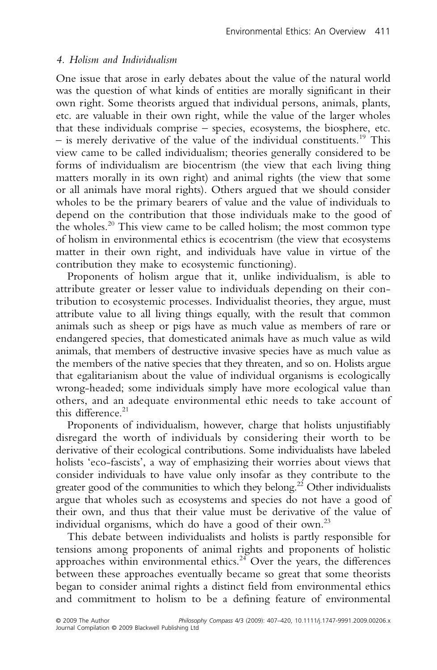#### *4. Holism and Individualism*

One issue that arose in early debates about the value of the natural world was the question of what kinds of entities are morally significant in their own right. Some theorists argued that individual persons, animals, plants, etc. are valuable in their own right, while the value of the larger wholes that these individuals comprise – species, ecosystems, the biosphere, etc.  $-$  is merely derivative of the value of the individual constituents.<sup>19</sup> This view came to be called individualism; theories generally considered to be forms of individualism are biocentrism (the view that each living thing matters morally in its own right) and animal rights (the view that some or all animals have moral rights). Others argued that we should consider wholes to be the primary bearers of value and the value of individuals to depend on the contribution that those individuals make to the good of the wholes.<sup>20</sup> This view came to be called holism; the most common type of holism in environmental ethics is ecocentrism (the view that ecosystems matter in their own right, and individuals have value in virtue of the contribution they make to ecosystemic functioning).

Proponents of holism argue that it, unlike individualism, is able to attribute greater or lesser value to individuals depending on their contribution to ecosystemic processes. Individualist theories, they argue, must attribute value to all living things equally, with the result that common animals such as sheep or pigs have as much value as members of rare or endangered species, that domesticated animals have as much value as wild animals, that members of destructive invasive species have as much value as the members of the native species that they threaten, and so on. Holists argue that egalitarianism about the value of individual organisms is ecologically wrong-headed; some individuals simply have more ecological value than others, and an adequate environmental ethic needs to take account of this difference.<sup>21</sup>

Proponents of individualism, however, charge that holists unjustifiably disregard the worth of individuals by considering their worth to be derivative of their ecological contributions. Some individualists have labeled holists 'eco-fascists', a way of emphasizing their worries about views that consider individuals to have value only insofar as they contribute to the greater good of the communities to which they belong.<sup>22</sup> Other individualists argue that wholes such as ecosystems and species do not have a good of their own, and thus that their value must be derivative of the value of individual organisms, which do have a good of their own.<sup>23</sup>

This debate between individualists and holists is partly responsible for tensions among proponents of animal rights and proponents of holistic approaches within environmental ethics.<sup>24</sup> Over the years, the differences between these approaches eventually became so great that some theorists began to consider animal rights a distinct field from environmental ethics and commitment to holism to be a defining feature of environmental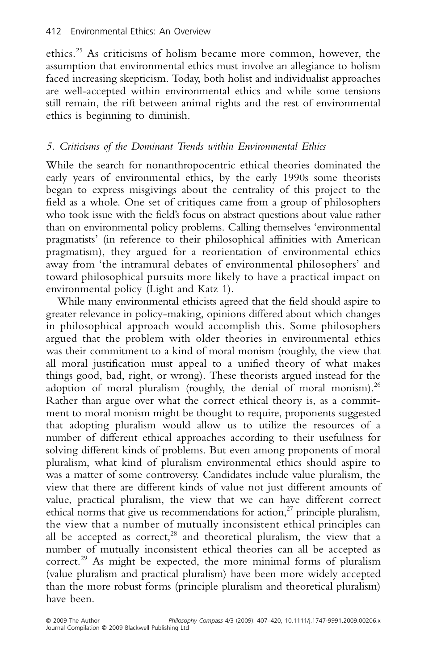ethics.25 As criticisms of holism became more common, however, the assumption that environmental ethics must involve an allegiance to holism faced increasing skepticism. Today, both holist and individualist approaches are well-accepted within environmental ethics and while some tensions still remain, the rift between animal rights and the rest of environmental ethics is beginning to diminish.

# *5. Criticisms of the Dominant Trends within Environmental Ethics*

While the search for nonanthropocentric ethical theories dominated the early years of environmental ethics, by the early 1990s some theorists began to express misgivings about the centrality of this project to the field as a whole. One set of critiques came from a group of philosophers who took issue with the field's focus on abstract questions about value rather than on environmental policy problems. Calling themselves 'environmental pragmatists' (in reference to their philosophical affinities with American pragmatism), they argued for a reorientation of environmental ethics away from 'the intramural debates of environmental philosophers' and toward philosophical pursuits more likely to have a practical impact on environmental policy (Light and Katz 1).

While many environmental ethicists agreed that the field should aspire to greater relevance in policy-making, opinions differed about which changes in philosophical approach would accomplish this. Some philosophers argued that the problem with older theories in environmental ethics was their commitment to a kind of moral monism (roughly, the view that all moral justification must appeal to a unified theory of what makes things good, bad, right, or wrong). These theorists argued instead for the adoption of moral pluralism (roughly, the denial of moral monism). $^{26}$ Rather than argue over what the correct ethical theory is, as a commitment to moral monism might be thought to require, proponents suggested that adopting pluralism would allow us to utilize the resources of a number of different ethical approaches according to their usefulness for solving different kinds of problems. But even among proponents of moral pluralism, what kind of pluralism environmental ethics should aspire to was a matter of some controversy. Candidates include value pluralism, the view that there are different kinds of value not just different amounts of value, practical pluralism, the view that we can have different correct ethical norms that give us recommendations for action, $^{27}$  principle pluralism, the view that a number of mutually inconsistent ethical principles can all be accepted as correct,<sup>28</sup> and theoretical pluralism, the view that a number of mutually inconsistent ethical theories can all be accepted as correct.<sup>29</sup> As might be expected, the more minimal forms of pluralism (value pluralism and practical pluralism) have been more widely accepted than the more robust forms (principle pluralism and theoretical pluralism) have been.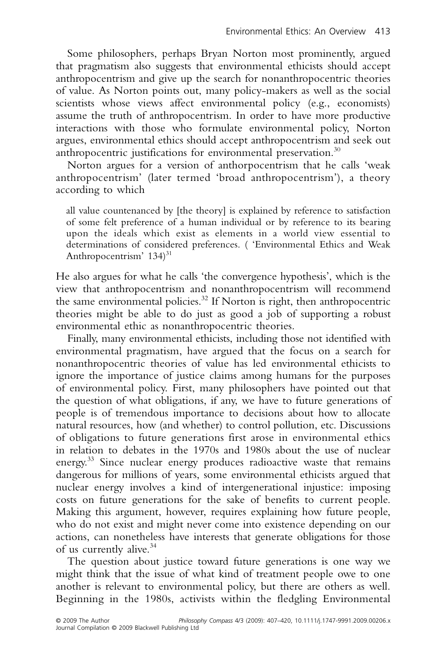Some philosophers, perhaps Bryan Norton most prominently, argued that pragmatism also suggests that environmental ethicists should accept anthropocentrism and give up the search for nonanthropocentric theories of value. As Norton points out, many policy-makers as well as the social scientists whose views affect environmental policy (e.g., economists) assume the truth of anthropocentrism. In order to have more productive interactions with those who formulate environmental policy, Norton argues, environmental ethics should accept anthropocentrism and seek out anthropocentric justifications for environmental preservation.<sup>30</sup>

Norton argues for a version of anthorpocentrism that he calls 'weak anthropocentrism' (later termed 'broad anthropocentrism'), a theory according to which

all value countenanced by [the theory] is explained by reference to satisfaction of some felt preference of a human individual or by reference to its bearing upon the ideals which exist as elements in a world view essential to determinations of considered preferences. ( 'Environmental Ethics and Weak Anthropocentrism'  $134$ <sup>31</sup>

He also argues for what he calls 'the convergence hypothesis', which is the view that anthropocentrism and nonanthropocentrism will recommend the same environmental policies.<sup>32</sup> If Norton is right, then anthropocentric theories might be able to do just as good a job of supporting a robust environmental ethic as nonanthropocentric theories.

Finally, many environmental ethicists, including those not identified with environmental pragmatism, have argued that the focus on a search for nonanthropocentric theories of value has led environmental ethicists to ignore the importance of justice claims among humans for the purposes of environmental policy. First, many philosophers have pointed out that the question of what obligations, if any, we have to future generations of people is of tremendous importance to decisions about how to allocate natural resources, how (and whether) to control pollution, etc. Discussions of obligations to future generations first arose in environmental ethics in relation to debates in the 1970s and 1980s about the use of nuclear energy.<sup>33</sup> Since nuclear energy produces radioactive waste that remains dangerous for millions of years, some environmental ethicists argued that nuclear energy involves a kind of intergenerational injustice: imposing costs on future generations for the sake of benefits to current people. Making this argument, however, requires explaining how future people, who do not exist and might never come into existence depending on our actions, can nonetheless have interests that generate obligations for those of us currently alive.<sup>34</sup>

The question about justice toward future generations is one way we might think that the issue of what kind of treatment people owe to one another is relevant to environmental policy, but there are others as well. Beginning in the 1980s, activists within the fledgling Environmental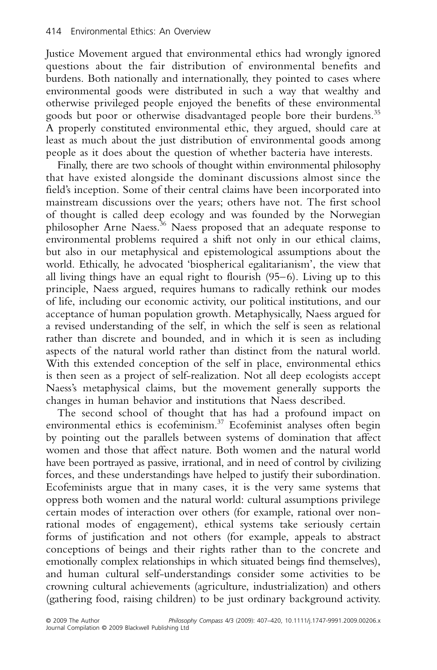Justice Movement argued that environmental ethics had wrongly ignored questions about the fair distribution of environmental benefits and burdens. Both nationally and internationally, they pointed to cases where environmental goods were distributed in such a way that wealthy and otherwise privileged people enjoyed the benefits of these environmental goods but poor or otherwise disadvantaged people bore their burdens.<sup>35</sup> A properly constituted environmental ethic, they argued, should care at least as much about the just distribution of environmental goods among people as it does about the question of whether bacteria have interests.

Finally, there are two schools of thought within environmental philosophy that have existed alongside the dominant discussions almost since the field's inception. Some of their central claims have been incorporated into mainstream discussions over the years; others have not. The first school of thought is called deep ecology and was founded by the Norwegian philosopher Arne Naess.<sup>36</sup> Naess proposed that an adequate response to environmental problems required a shift not only in our ethical claims, but also in our metaphysical and epistemological assumptions about the world. Ethically, he advocated 'biospherical egalitarianism', the view that all living things have an equal right to flourish (95–6). Living up to this principle, Naess argued, requires humans to radically rethink our modes of life, including our economic activity, our political institutions, and our acceptance of human population growth. Metaphysically, Naess argued for a revised understanding of the self, in which the self is seen as relational rather than discrete and bounded, and in which it is seen as including aspects of the natural world rather than distinct from the natural world. With this extended conception of the self in place, environmental ethics is then seen as a project of self-realization. Not all deep ecologists accept Naess's metaphysical claims, but the movement generally supports the changes in human behavior and institutions that Naess described.

The second school of thought that has had a profound impact on environmental ethics is ecofeminism.<sup>37</sup> Ecofeminist analyses often begin by pointing out the parallels between systems of domination that affect women and those that affect nature. Both women and the natural world have been portrayed as passive, irrational, and in need of control by civilizing forces, and these understandings have helped to justify their subordination. Ecofeminists argue that in many cases, it is the very same systems that oppress both women and the natural world: cultural assumptions privilege certain modes of interaction over others (for example, rational over nonrational modes of engagement), ethical systems take seriously certain forms of justification and not others (for example, appeals to abstract conceptions of beings and their rights rather than to the concrete and emotionally complex relationships in which situated beings find themselves), and human cultural self-understandings consider some activities to be crowning cultural achievements (agriculture, industrialization) and others (gathering food, raising children) to be just ordinary background activity.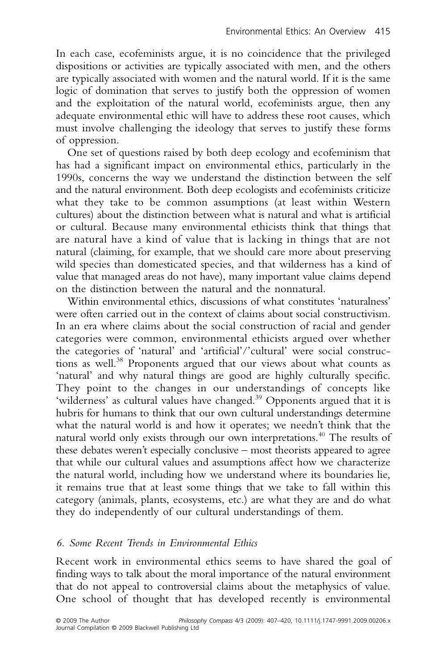In each case, ecofeminists argue, it is no coincidence that the privileged dispositions or activities are typically associated with men, and the others are typically associated with women and the natural world. If it is the same logic of domination that serves to justify both the oppression of women and the exploitation of the natural world, ecofeminists argue, then any adequate environmental ethic will have to address these root causes, which must involve challenging the ideology that serves to justify these forms of oppression.

One set of questions raised by both deep ecology and ecofeminism that has had a significant impact on environmental ethics, particularly in the 1990s, concerns the way we understand the distinction between the self and the natural environment. Both deep ecologists and ecofeminists criticize what they take to be common assumptions (at least within Western cultures) about the distinction between what is natural and what is artificial or cultural. Because many environmental ethicists think that things that are natural have a kind of value that is lacking in things that are not natural (claiming, for example, that we should care more about preserving wild species than domesticated species, and that wilderness has a kind of value that managed areas do not have), many important value claims depend on the distinction between the natural and the nonnatural.

Within environmental ethics, discussions of what constitutes 'naturalness' were often carried out in the context of claims about social constructivism. In an era where claims about the social construction of racial and gender categories were common, environmental ethicists argued over whether the categories of 'natural' and 'artificial'/'cultural' were social constructions as well.<sup>38</sup> Proponents argued that our views about what counts as 'natural' and why natural things are good are highly culturally specific. They point to the changes in our understandings of concepts like 'wilderness' as cultural values have changed.<sup>39</sup> Opponents argued that it is hubris for humans to think that our own cultural understandings determine what the natural world is and how it operates; we needn't think that the natural world only exists through our own interpretations.<sup>40</sup> The results of these debates weren't especially conclusive – most theorists appeared to agree that while our cultural values and assumptions affect how we characterize the natural world, including how we understand where its boundaries lie, it remains true that at least some things that we take to fall within this category (animals, plants, ecosystems, etc.) are what they are and do what they do independently of our cultural understandings of them.

# *6. Some Recent Trends in Environmental Ethics*

Recent work in environmental ethics seems to have shared the goal of finding ways to talk about the moral importance of the natural environment that do not appeal to controversial claims about the metaphysics of value. One school of thought that has developed recently is environmental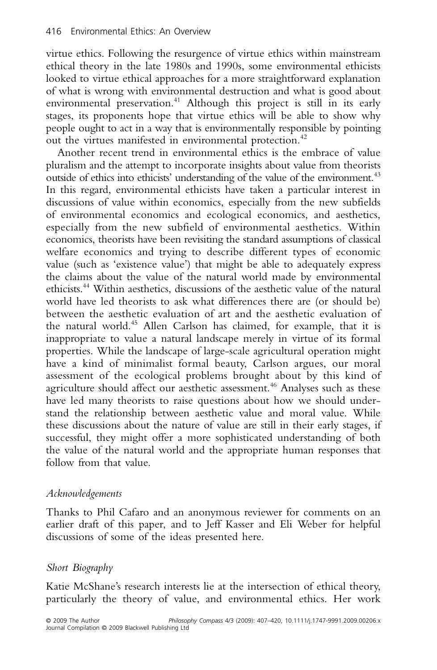virtue ethics. Following the resurgence of virtue ethics within mainstream ethical theory in the late 1980s and 1990s, some environmental ethicists looked to virtue ethical approaches for a more straightforward explanation of what is wrong with environmental destruction and what is good about environmental preservation.<sup>41</sup> Although this project is still in its early stages, its proponents hope that virtue ethics will be able to show why people ought to act in a way that is environmentally responsible by pointing out the virtues manifested in environmental protection.<sup>42</sup>

Another recent trend in environmental ethics is the embrace of value pluralism and the attempt to incorporate insights about value from theorists outside of ethics into ethicists' understanding of the value of the environment.<sup>43</sup> In this regard, environmental ethicists have taken a particular interest in discussions of value within economics, especially from the new subfields of environmental economics and ecological economics, and aesthetics, especially from the new subfield of environmental aesthetics. Within economics, theorists have been revisiting the standard assumptions of classical welfare economics and trying to describe different types of economic value (such as 'existence value') that might be able to adequately express the claims about the value of the natural world made by environmental ethicists.44 Within aesthetics, discussions of the aesthetic value of the natural world have led theorists to ask what differences there are (or should be) between the aesthetic evaluation of art and the aesthetic evaluation of the natural world.45 Allen Carlson has claimed, for example, that it is inappropriate to value a natural landscape merely in virtue of its formal properties. While the landscape of large-scale agricultural operation might have a kind of minimalist formal beauty, Carlson argues, our moral assessment of the ecological problems brought about by this kind of agriculture should affect our aesthetic assessment.<sup>46</sup> Analyses such as these have led many theorists to raise questions about how we should understand the relationship between aesthetic value and moral value. While these discussions about the nature of value are still in their early stages, if successful, they might offer a more sophisticated understanding of both the value of the natural world and the appropriate human responses that follow from that value.

# *Acknowledgements*

Thanks to Phil Cafaro and an anonymous reviewer for comments on an earlier draft of this paper, and to Jeff Kasser and Eli Weber for helpful discussions of some of the ideas presented here.

# *Short Biography*

Katie McShane's research interests lie at the intersection of ethical theory, particularly the theory of value, and environmental ethics. Her work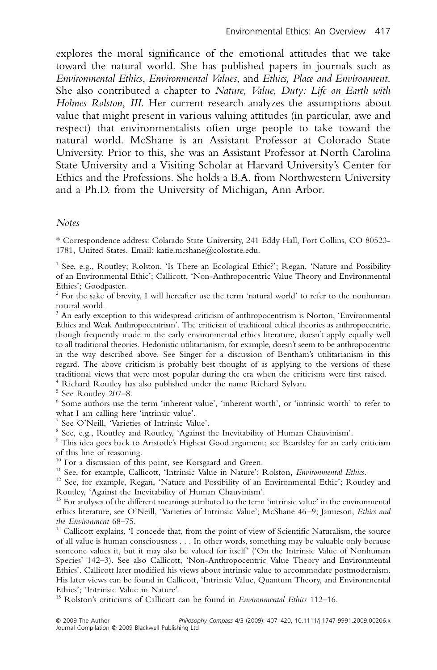explores the moral significance of the emotional attitudes that we take toward the natural world. She has published papers in journals such as *Environmental Ethics*, *Environmental Values*, and *Ethics, Place and Environment*. She also contributed a chapter to *Nature, Value, Duty: Life on Earth with Holmes Rolston, III*. Her current research analyzes the assumptions about value that might present in various valuing attitudes (in particular, awe and respect) that environmentalists often urge people to take toward the natural world. McShane is an Assistant Professor at Colorado State University. Prior to this, she was an Assistant Professor at North Carolina State University and a Visiting Scholar at Harvard University's Center for Ethics and the Professions. She holds a B.A. from Northwestern University and a Ph.D. from the University of Michigan, Ann Arbor.

*Notes*

\* Correspondence address: Colarado State University, 241 Eddy Hall, Fort Collins, CO 80523- 1781, United States. Email: katie.mcshane@colostate.edu.

<sup>1</sup> See, e.g., Routley; Rolston, 'Is There an Ecological Ethic?'; Regan, 'Nature and Possibility of an Environmental Ethic'; Callicott, 'Non-Anthropocentric Value Theory and Environmental Ethics'; Goodpaster.

 $2^{2}$  For the sake of brevity, I will hereafter use the term 'natural world' to refer to the nonhuman natural world.

<sup>3</sup> An early exception to this widespread criticism of anthropocentrism is Norton, 'Environmental Ethics and Weak Anthropocentrism'. The criticism of traditional ethical theories as anthropocentric, though frequently made in the early environmental ethics literature, doesn't apply equally well to all traditional theories. Hedonistic utilitarianism, for example, doesn't seem to be anthropocentric in the way described above. See Singer for a discussion of Bentham's utilitarianism in this regard. The above criticism is probably best thought of as applying to the versions of these traditional views that were most popular during the era when the criticisms were first raised.

4 Richard Routley has also published under the name Richard Sylvan.

5 See Routley 207–8.

6 Some authors use the term 'inherent value', 'inherent worth', or 'intrinsic worth' to refer to what I am calling here 'intrinsic value'.

7 See O'Neill, 'Varieties of Intrinsic Value'.

<sup>8</sup> See, e.g., Routley and Routley, 'Against the Inevitability of Human Chauvinism'.

9 This idea goes back to Aristotle's Highest Good argument; see Beardsley for an early criticism of this line of reasoning.

<sup>10</sup> For a discussion of this point, see Korsgaard and Green.

<sup>11</sup> See, for example, Callicott, 'Intrinsic Value in Nature'; Rolston, *Environmental Ethics*.

<sup>12</sup> See, for example, Regan, 'Nature and Possibility of an Environmental Ethic'; Routley and Routley, 'Against the Inevitability of Human Chauvinism'.

<sup>13</sup> For analyses of the different meanings attributed to the term 'intrinsic value' in the environmental ethics literature, see O'Neill, 'Varieties of Intrinsic Value'; McShane 46–9; Jamieson, *Ethics and the Environment* 68–75.

<sup>14</sup> Callicott explains, 'I concede that, from the point of view of Scientific Naturalism, the source of all value is human consciousness . . . In other words, something may be valuable only because someone values it, but it may also be valued for itself' ('On the Intrinsic Value of Nonhuman Species' 142–3). See also Callicott, 'Non-Anthropocentric Value Theory and Environmental Ethics'. Callicott later modified his views about intrinsic value to accommodate postmodernism. His later views can be found in Callicott, 'Intrinsic Value, Quantum Theory, and Environmental Ethics'; 'Intrinsic Value in Nature'.

15 Rolston's criticisms of Callicott can be found in *Environmental Ethics* 112–16.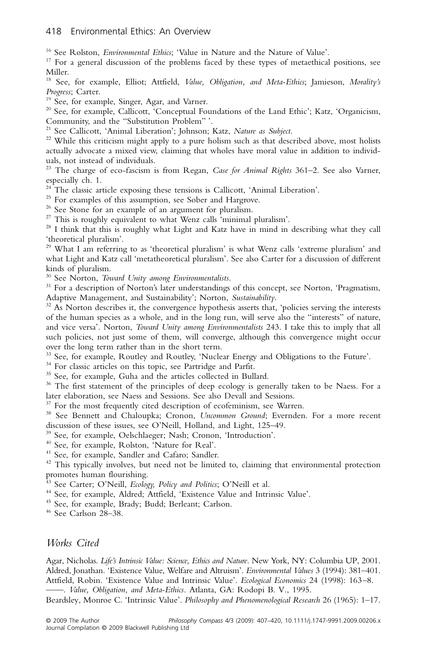16 See Rolston, *Environmental Ethics*; 'Value in Nature and the Nature of Value'.

 $17$  For a general discussion of the problems faced by these types of metaethical positions, see Miller.

18 See, for example, Elliot; Attfield, *Value, Obligation, and Meta-Ethics*; Jamieson, *Morality's Progress*; Carter.

<sup>19</sup> See, for example, Singer, Agar, and Varner.

<sup>20</sup> See, for example, Callicott, 'Conceptual Foundations of the Land Ethic'; Katz, 'Organicism, Community, and the "Substitution Problem" '.

21 See Callicott, 'Animal Liberation'; Johnson; Katz, *Nature as Subject*.

<sup>22</sup> While this criticism might apply to a pure holism such as that described above, most holists actually advocate a mixed view, claiming that wholes have moral value in addition to individuals, not instead of individuals.

23 The charge of eco-fascism is from Regan, *Case for Animal Rights* 361–2. See also Varner, especially ch. 1.

<sup>24</sup> The classic article exposing these tensions is Callicott, 'Animal Liberation'.

<sup>25</sup> For examples of this assumption, see Sober and Hargrove.

<sup>26</sup> See Stone for an example of an argument for pluralism.

<sup>27</sup> This is roughly equivalent to what Wenz calls 'minimal pluralism'.

<sup>28</sup> I think that this is roughly what Light and Katz have in mind in describing what they call 'theoretical pluralism'.

 $29$  What I am referring to as 'theoretical pluralism' is what Wenz calls 'extreme pluralism' and what Light and Katz call 'metatheoretical pluralism'. See also Carter for a discussion of different kinds of pluralism.

30 See Norton, *Toward Unity among Environmentalists*.

<sup>31</sup> For a description of Norton's later understandings of this concept, see Norton, 'Pragmatism, Adaptive Management, and Sustainability'; Norton, *Sustainability*.

 $32$  As Norton describes it, the convergence hypothesis asserts that, 'policies serving the interests of the human species as a whole, and in the long run, will serve also the "interests" of nature, and vice versa'. Norton, *Toward Unity among Environmentalists* 243. I take this to imply that all such policies, not just some of them, will converge, although this convergence might occur over the long term rather than in the short term.

<sup>33</sup> See, for example, Routley and Routley, 'Nuclear Energy and Obligations to the Future'.

<sup>34</sup> For classic articles on this topic, see Partridge and Parfit.

<sup>35</sup> See, for example, Guha and the articles collected in Bullard.

<sup>36</sup> The first statement of the principles of deep ecology is generally taken to be Naess. For a later elaboration, see Naess and Sessions. See also Devall and Sessions.

<sup>37</sup> For the most frequently cited description of ecofeminism, see Warren.

38 See Bennett and Chaloupka; Cronon, *Uncommon Ground*; Evernden. For a more recent discussion of these issues, see O'Neill, Holland, and Light, 125–49.

39 See, for example, Oelschlaeger; Nash; Cronon, 'Introduction'.

40 See, for example, Rolston, 'Nature for Real'.

41 See, for example, Sandler and Cafaro; Sandler.

<sup>42</sup> This typically involves, but need not be limited to, claiming that environmental protection promotes human flourishing.

43 See Carter; O'Neill, *Ecology, Policy and Politics*; O'Neill et al.

44 See, for example, Aldred; Attfield, 'Existence Value and Intrinsic Value'.

45 See, for example, Brady; Budd; Berleant; Carlson.

46 See Carlson 28–38.

## *Works Cited*

Agar, Nicholas. *Life's Intrinsic Value: Science, Ethics and Nature*. New York, NY: Columbia UP, 2001. Aldred, Jonathan. 'Existence Value, Welfare and Altruism'. *Environmental Values* 3 (1994): 381–401. Attfield, Robin. 'Existence Value and Intrinsic Value'. *Ecological Economics* 24 (1998): 163–8. ——. *Value, Obligation, and Meta-Ethics*. Atlanta, GA: Rodopi B. V., 1995.

Beardsley, Monroe C. 'Intrinsic Value'. *Philosophy and Phenomenological Research* 26 (1965): 1–17.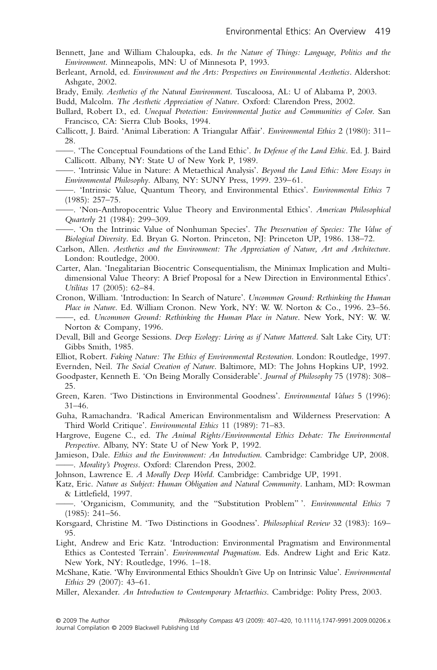- Bennett, Jane and William Chaloupka, eds. *In the Nature of Things: Language, Politics and the Environment*. Minneapolis, MN: U of Minnesota P, 1993.
- Berleant, Arnold, ed. *Environment and the Arts: Perspectives on Environmental Aesthetics*. Aldershot: Ashgate, 2002.
- Brady, Emily. *Aesthetics of the Natural Environment*. Tuscaloosa, AL: U of Alabama P, 2003.

Budd, Malcolm. *The Aesthetic Appreciation of Nature*. Oxford: Clarendon Press, 2002.

- Bullard, Robert D., ed. *Unequal Protection: Environmental Justice and Communities of Color*. San Francisco, CA: Sierra Club Books, 1994.
- Callicott, J. Baird. 'Animal Liberation: A Triangular Affair'. *Environmental Ethics* 2 (1980): 311– 28.
	- ——. 'The Conceptual Foundations of the Land Ethic'. *In Defense of the Land Ethic*. Ed. J. Baird Callicott. Albany, NY: State U of New York P, 1989.
- ——. 'Intrinsic Value in Nature: A Metaethical Analysis'. *Beyond the Land Ethic: More Essays in Environmental Philosophy*. Albany, NY: SUNY Press, 1999. 239–61.
- ——. 'Intrinsic Value, Quantum Theory, and Environmental Ethics'. *Environmental Ethics* 7 (1985): 257–75.
- ——. 'Non-Anthropocentric Value Theory and Environmental Ethics'. *American Philosophical Quarterly* 21 (1984): 299–309.

——. 'On the Intrinsic Value of Nonhuman Species'. *The Preservation of Species: The Value of Biological Diversity*. Ed. Bryan G. Norton. Princeton, NJ: Princeton UP, 1986. 138–72.

- Carlson, Allen. *Aesthetics and the Environment: The Appreciation of Nature, Art and Architecture*. London: Routledge, 2000.
- Carter, Alan. 'Inegalitarian Biocentric Consequentialism, the Minimax Implication and Multidimensional Value Theory: A Brief Proposal for a New Direction in Environmental Ethics'. *Utilitas* 17 (2005): 62–84.
- Cronon, William. 'Introduction: In Search of Nature'. *Uncommon Ground: Rethinking the Human Place in Nature*. Ed. William Cronon. New York, NY: W. W. Norton & Co., 1996. 23–56.
- ——, ed. *Uncommon Ground: Rethinking the Human Place in Nature*. New York, NY: W. W. Norton & Company, 1996.
- Devall, Bill and George Sessions. *Deep Ecology: Living as if Nature Mattered*. Salt Lake City, UT: Gibbs Smith, 1985.
- Elliot, Robert. *Faking Nature: The Ethics of Environmental Restoration*. London: Routledge, 1997.

Evernden, Neil. *The Social Creation of Nature*. Baltimore, MD: The Johns Hopkins UP, 1992.

- Goodpaster, Kenneth E. 'On Being Morally Considerable'. *Journal of Philosophy* 75 (1978): 308– 25.
- Green, Karen. 'Two Distinctions in Environmental Goodness'. *Environmental Values* 5 (1996): 31–46.
- Guha, Ramachandra. 'Radical American Environmentalism and Wilderness Preservation: A Third World Critique'. *Environmental Ethics* 11 (1989): 71–83.

Hargrove, Eugene C., ed. *The Animal Rights/Environmental Ethics Debate: The Environmental Perspective*. Albany, NY: State U of New York P, 1992.

Jamieson, Dale. *Ethics and the Environment: An Introduction*. Cambridge: Cambridge UP, 2008. ——. *Morality's Progress*. Oxford: Clarendon Press, 2002.

Johnson, Lawrence E. *A Morally Deep World*. Cambridge: Cambridge UP, 1991.

Katz, Eric. *Nature as Subject: Human Obligation and Natural Community*. Lanham, MD: Rowman & Littlefield, 1997.

——. 'Organicism, Community, and the "Substitution Problem" '. *Environmental Ethics* 7 (1985): 241–56.

Korsgaard, Christine M. 'Two Distinctions in Goodness'. *Philosophical Review* 32 (1983): 169– 95.

- Light, Andrew and Eric Katz. 'Introduction: Environmental Pragmatism and Environmental Ethics as Contested Terrain'. *Environmental Pragmatism*. Eds. Andrew Light and Eric Katz. New York, NY: Routledge, 1996. 1–18.
- McShane, Katie. 'Why Environmental Ethics Shouldn't Give Up on Intrinsic Value'. *Environmental Ethics* 29 (2007): 43–61.
- Miller, Alexander. *An Introduction to Contemporary Metaethics*. Cambridge: Polity Press, 2003.